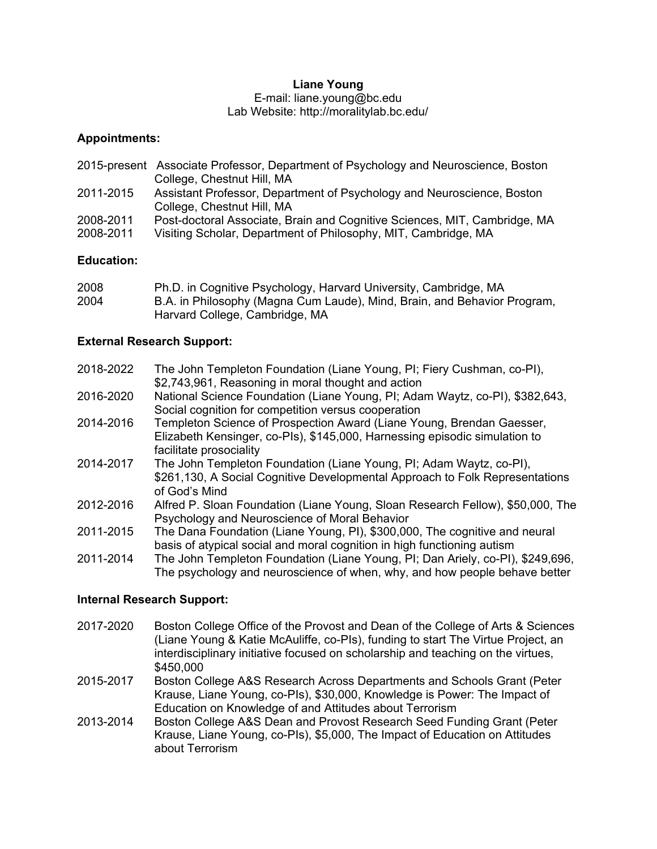## **Liane Young**

E-mail: liane.young@bc.edu Lab Website: http://moralitylab.bc.edu/

### **Appointments:**

2015-present Associate Professor, Department of Psychology and Neuroscience, Boston College, Chestnut Hill, MA 2011-2015 Assistant Professor, Department of Psychology and Neuroscience, Boston College, Chestnut Hill, MA 2008-2011 Post-doctoral Associate, Brain and Cognitive Sciences, MIT, Cambridge, MA 2008-2011 Visiting Scholar, Department of Philosophy, MIT, Cambridge, MA

## **Education:**

| 2008 | Ph.D. in Cognitive Psychology, Harvard University, Cambridge, MA         |
|------|--------------------------------------------------------------------------|
| 2004 | B.A. in Philosophy (Magna Cum Laude), Mind, Brain, and Behavior Program, |
|      | Harvard College, Cambridge, MA                                           |

# **External Research Support:**

| 2018-2022 | The John Templeton Foundation (Liane Young, PI; Fiery Cushman, co-PI),<br>\$2,743,961, Reasoning in moral thought and action                                                   |
|-----------|--------------------------------------------------------------------------------------------------------------------------------------------------------------------------------|
| 2016-2020 | National Science Foundation (Liane Young, PI; Adam Waytz, co-PI), \$382,643,<br>Social cognition for competition versus cooperation                                            |
| 2014-2016 | Templeton Science of Prospection Award (Liane Young, Brendan Gaesser,<br>Elizabeth Kensinger, co-Pls), \$145,000, Harnessing episodic simulation to<br>facilitate prosociality |
| 2014-2017 | The John Templeton Foundation (Liane Young, PI; Adam Waytz, co-PI),<br>\$261,130, A Social Cognitive Developmental Approach to Folk Representations<br>of God's Mind           |
| 2012-2016 | Alfred P. Sloan Foundation (Liane Young, Sloan Research Fellow), \$50,000, The<br>Psychology and Neuroscience of Moral Behavior                                                |
| 2011-2015 | The Dana Foundation (Liane Young, PI), \$300,000, The cognitive and neural<br>basis of atypical social and moral cognition in high functioning autism                          |
| 2011-2014 | The John Templeton Foundation (Liane Young, PI; Dan Ariely, co-PI), \$249,696,<br>The psychology and neuroscience of when, why, and how people behave better                   |

# **Internal Research Support:**

- 2017-2020 Boston College Office of the Provost and Dean of the College of Arts & Sciences (Liane Young & Katie McAuliffe, co-PIs), funding to start The Virtue Project, an interdisciplinary initiative focused on scholarship and teaching on the virtues, \$450,000
- 2015-2017 Boston College A&S Research Across Departments and Schools Grant (Peter Krause, Liane Young, co-PIs), \$30,000, Knowledge is Power: The Impact of Education on Knowledge of and Attitudes about Terrorism
- 2013-2014 Boston College A&S Dean and Provost Research Seed Funding Grant (Peter Krause, Liane Young, co-PIs), \$5,000, The Impact of Education on Attitudes about Terrorism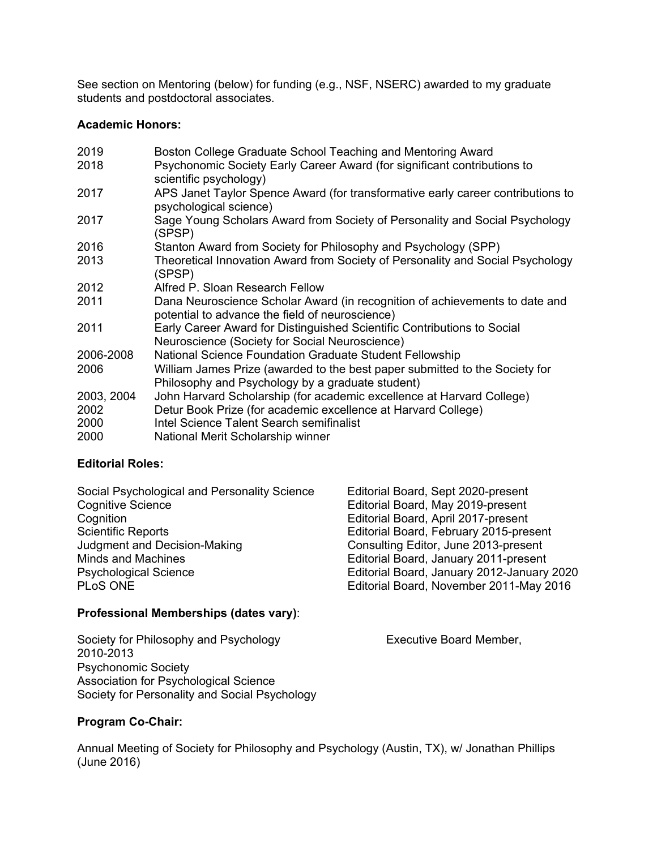See section on Mentoring (below) for funding (e.g., NSF, NSERC) awarded to my graduate students and postdoctoral associates.

### **Academic Honors:**

| Boston College Graduate School Teaching and Mentoring Award                                                                     |  |  |
|---------------------------------------------------------------------------------------------------------------------------------|--|--|
| Psychonomic Society Early Career Award (for significant contributions to<br>scientific psychology)                              |  |  |
| APS Janet Taylor Spence Award (for transformative early career contributions to                                                 |  |  |
| psychological science)                                                                                                          |  |  |
| Sage Young Scholars Award from Society of Personality and Social Psychology<br>(SPSP)                                           |  |  |
| Stanton Award from Society for Philosophy and Psychology (SPP)                                                                  |  |  |
| Theoretical Innovation Award from Society of Personality and Social Psychology<br>(SPSP)                                        |  |  |
| Alfred P. Sloan Research Fellow                                                                                                 |  |  |
| Dana Neuroscience Scholar Award (in recognition of achievements to date and<br>potential to advance the field of neuroscience)  |  |  |
| Early Career Award for Distinguished Scientific Contributions to Social<br>Neuroscience (Society for Social Neuroscience)       |  |  |
| National Science Foundation Graduate Student Fellowship                                                                         |  |  |
| William James Prize (awarded to the best paper submitted to the Society for<br>Philosophy and Psychology by a graduate student) |  |  |
| John Harvard Scholarship (for academic excellence at Harvard College)                                                           |  |  |
| Detur Book Prize (for academic excellence at Harvard College)                                                                   |  |  |
| Intel Science Talent Search semifinalist                                                                                        |  |  |
| National Merit Scholarship winner                                                                                               |  |  |
|                                                                                                                                 |  |  |

### **Editorial Roles:**

| Social Psychological and Personality Science | Editorial Board, Sept 2020-present         |
|----------------------------------------------|--------------------------------------------|
| <b>Cognitive Science</b>                     | Editorial Board, May 2019-present          |
| Cognition                                    | Editorial Board, April 2017-present        |
| <b>Scientific Reports</b>                    | Editorial Board, February 2015-present     |
| Judgment and Decision-Making                 | Consulting Editor, June 2013-present       |
| Minds and Machines                           | Editorial Board, January 2011-present      |
| <b>Psychological Science</b>                 | Editorial Board, January 2012-January 2020 |
| PLoS ONE                                     | Editorial Board, November 2011-May 2016    |

### **Professional Memberships (dates vary)**:

Society for Philosophy and Psychology **Executive Board Member,** 2010-2013 Psychonomic Society Association for Psychological Science Society for Personality and Social Psychology

### **Program Co-Chair:**

Annual Meeting of Society for Philosophy and Psychology (Austin, TX), w/ Jonathan Phillips (June 2016)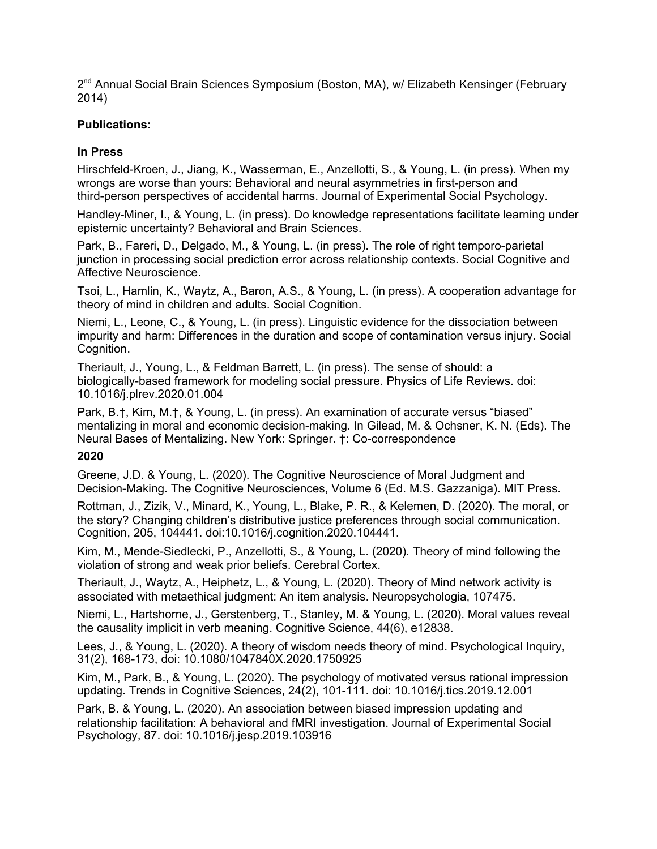2<sup>nd</sup> Annual Social Brain Sciences Symposium (Boston, MA), w/ Elizabeth Kensinger (February 2014)

### **Publications:**

## **In Press**

Hirschfeld-Kroen, J., Jiang, K., Wasserman, E., Anzellotti, S., & Young, L. (in press). When my wrongs are worse than yours: Behavioral and neural asymmetries in first-person and third-person perspectives of accidental harms. Journal of Experimental Social Psychology.

Handley-Miner, I., & Young, L. (in press). Do knowledge representations facilitate learning under epistemic uncertainty? Behavioral and Brain Sciences.

Park, B., Fareri, D., Delgado, M., & Young, L. (in press). The role of right temporo-parietal junction in processing social prediction error across relationship contexts. Social Cognitive and Affective Neuroscience.

Tsoi, L., Hamlin, K., Waytz, A., Baron, A.S., & Young, L. (in press). A cooperation advantage for theory of mind in children and adults. Social Cognition.

Niemi, L., Leone, C., & Young, L. (in press). Linguistic evidence for the dissociation between impurity and harm: Differences in the duration and scope of contamination versus injury. Social Cognition.

Theriault, J., Young, L., & Feldman Barrett, L. (in press). The sense of should: a biologically-based framework for modeling social pressure. Physics of Life Reviews. doi: 10.1016/j.plrev.2020.01.004

Park, B.†, Kim, M.†, & Young, L. (in press). An examination of accurate versus "biased" mentalizing in moral and economic decision-making. In Gilead, M. & Ochsner, K. N. (Eds). The Neural Bases of Mentalizing. New York: Springer. †: Co-correspondence

### **2020**

Greene, J.D. & Young, L. (2020). The Cognitive Neuroscience of Moral Judgment and Decision-Making. The Cognitive Neurosciences, Volume 6 (Ed. M.S. Gazzaniga). MIT Press.

Rottman, J., Zizik, V., Minard, K., Young, L., Blake, P. R., & Kelemen, D. (2020). The moral, or the story? Changing children's distributive justice preferences through social communication. Cognition, 205, 104441. doi:10.1016/j.cognition.2020.104441.

Kim, M., Mende-Siedlecki, P., Anzellotti, S., & Young, L. (2020). Theory of mind following the violation of strong and weak prior beliefs. Cerebral Cortex.

Theriault, J., Waytz, A., Heiphetz, L., & Young, L. (2020). Theory of Mind network activity is associated with metaethical judgment: An item analysis. Neuropsychologia, 107475.

Niemi, L., Hartshorne, J., Gerstenberg, T., Stanley, M. & Young, L. (2020). Moral values reveal the causality implicit in verb meaning. Cognitive Science, 44(6), e12838.

Lees, J., & Young, L. (2020). A theory of wisdom needs theory of mind. Psychological Inquiry, 31(2), 168-173, doi: 10.1080/1047840X.2020.1750925

Kim, M., Park, B., & Young, L. (2020). The psychology of motivated versus rational impression updating. Trends in Cognitive Sciences, 24(2), 101-111. doi: 10.1016/j.tics.2019.12.001

Park, B. & Young, L. (2020). An association between biased impression updating and relationship facilitation: A behavioral and fMRI investigation. Journal of Experimental Social Psychology, 87. doi: 10.1016/j.jesp.2019.103916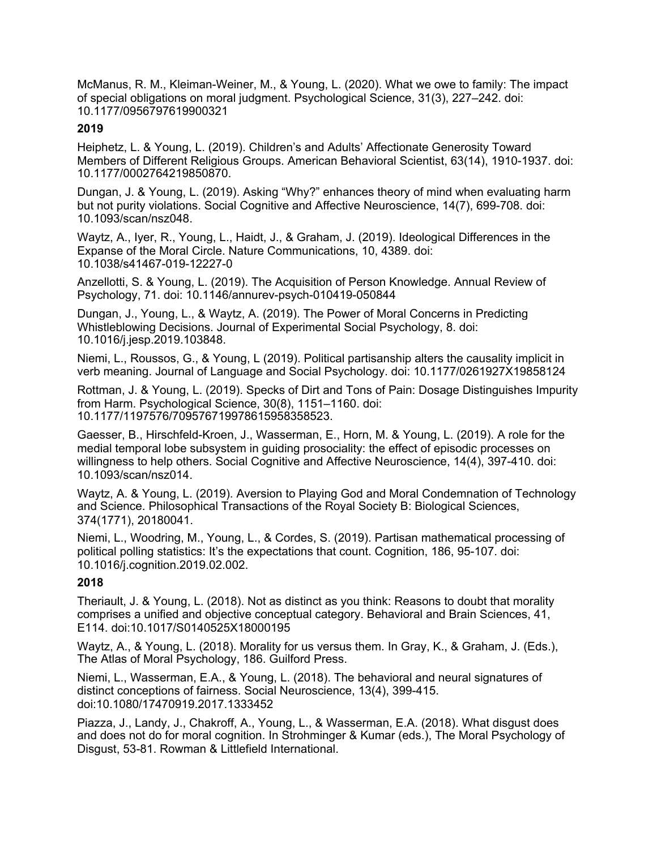McManus, R. M., Kleiman-Weiner, M., & Young, L. (2020). What we owe to family: The impact of special obligations on moral judgment. Psychological Science, 31(3), 227–242. doi: 10.1177/0956797619900321

## **2019**

Heiphetz, L. & Young, L. (2019). Children's and Adults' Affectionate Generosity Toward Members of Different Religious Groups. American Behavioral Scientist, 63(14), 1910-1937. doi: 10.1177/0002764219850870.

Dungan, J. & Young, L. (2019). Asking "Why?" enhances theory of mind when evaluating harm but not purity violations. Social Cognitive and Affective Neuroscience, 14(7), 699-708. doi: 10.1093/scan/nsz048.

Waytz, A., Iyer, R., Young, L., Haidt, J., & Graham, J. (2019). Ideological Differences in the Expanse of the Moral Circle. Nature Communications, 10, 4389. doi: 10.1038/s41467-019-12227-0

Anzellotti, S. & Young, L. (2019). The Acquisition of Person Knowledge. Annual Review of Psychology, 71. doi: 10.1146/annurev-psych-010419-050844

Dungan, J., Young, L., & Waytz, A. (2019). The Power of Moral Concerns in Predicting Whistleblowing Decisions. Journal of Experimental Social Psychology, 8. doi: 10.1016/j.jesp.2019.103848.

Niemi, L., Roussos, G., & Young, L (2019). Political partisanship alters the causality implicit in verb meaning. Journal of Language and Social Psychology. doi: 10.1177/0261927X19858124

Rottman, J. & Young, L. (2019). Specks of Dirt and Tons of Pain: Dosage Distinguishes Impurity from Harm. Psychological Science, 30(8), 1151–1160. doi: 10.1177/1197576/709576719978615958358523.

Gaesser, B., Hirschfeld-Kroen, J., Wasserman, E., Horn, M. & Young, L. (2019). A role for the medial temporal lobe subsystem in guiding prosociality: the effect of episodic processes on willingness to help others. Social Cognitive and Affective Neuroscience, 14(4), 397-410. doi: 10.1093/scan/nsz014.

Waytz, A. & Young, L. (2019). Aversion to Playing God and Moral Condemnation of Technology and Science. Philosophical Transactions of the Royal Society B: Biological Sciences, 374(1771), 20180041.

Niemi, L., Woodring, M., Young, L., & Cordes, S. (2019). Partisan mathematical processing of political polling statistics: It's the expectations that count. Cognition, 186, 95-107. doi: 10.1016/j.cognition.2019.02.002.

# **2018**

Theriault, J. & Young, L. (2018). Not as distinct as you think: Reasons to doubt that morality comprises a unified and objective conceptual category. Behavioral and Brain Sciences, 41, E114. doi:10.1017/S0140525X18000195

Waytz, A., & Young, L. (2018). Morality for us versus them. In Gray, K., & Graham, J. (Eds.), The Atlas of Moral Psychology, 186. Guilford Press.

Niemi, L., Wasserman, E.A., & Young, L. (2018). The behavioral and neural signatures of distinct conceptions of fairness. Social Neuroscience, 13(4), 399-415. doi:10.1080/17470919.2017.1333452

Piazza, J., Landy, J., Chakroff, A., Young, L., & Wasserman, E.A. (2018). What disgust does and does not do for moral cognition. In Strohminger & Kumar (eds.), The Moral Psychology of Disgust, 53-81. Rowman & Littlefield International.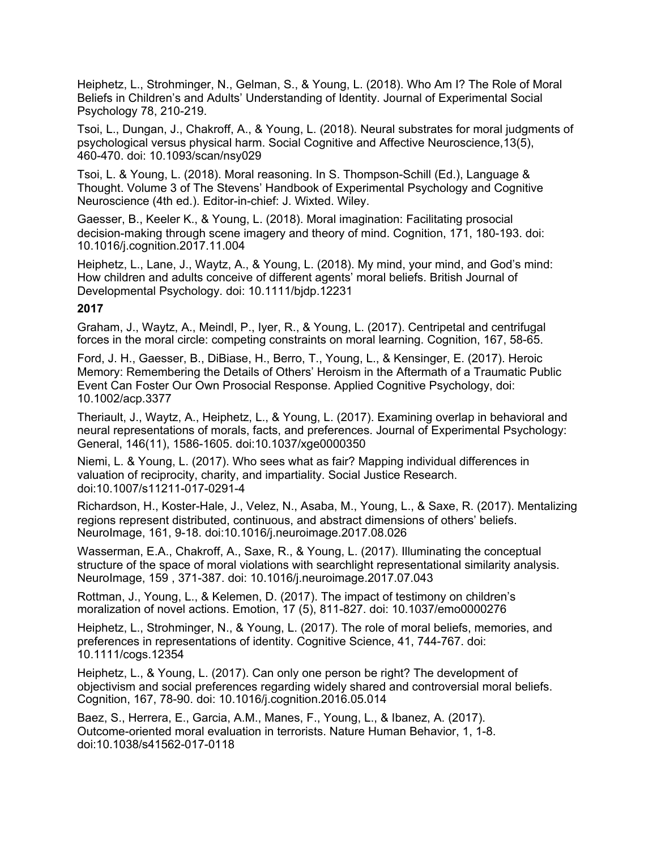Heiphetz, L., Strohminger, N., Gelman, S., & Young, L. (2018). Who Am I? The Role of Moral Beliefs in Children's and Adults' Understanding of Identity. Journal of Experimental Social Psychology 78, 210-219.

Tsoi, L., Dungan, J., Chakroff, A., & Young, L. (2018). Neural substrates for moral judgments of psychological versus physical harm. Social Cognitive and Affective Neuroscience,13(5), 460-470. doi: 10.1093/scan/nsy029

Tsoi, L. & Young, L. (2018). Moral reasoning. In S. Thompson-Schill (Ed.), Language & Thought. Volume 3 of The Stevens' Handbook of Experimental Psychology and Cognitive Neuroscience (4th ed.). Editor-in-chief: J. Wixted. Wiley.

Gaesser, B., Keeler K., & Young, L. (2018). Moral imagination: Facilitating prosocial decision-making through scene imagery and theory of mind. Cognition, 171, 180-193. doi: 10.1016/j.cognition.2017.11.004

Heiphetz, L., Lane, J., Waytz, A., & Young, L. (2018). My mind, your mind, and God's mind: How children and adults conceive of different agents' moral beliefs. British Journal of Developmental Psychology. doi: 10.1111/bjdp.12231

#### **2017**

Graham, J., Waytz, A., Meindl, P., Iyer, R., & Young, L. (2017). Centripetal and centrifugal forces in the moral circle: competing constraints on moral learning. Cognition, 167, 58-65.

Ford, J. H., Gaesser, B., DiBiase, H., Berro, T., Young, L., & Kensinger, E. (2017). Heroic Memory: Remembering the Details of Others' Heroism in the Aftermath of a Traumatic Public Event Can Foster Our Own Prosocial Response. Applied Cognitive Psychology, doi: 10.1002/acp.3377

Theriault, J., Waytz, A., Heiphetz, L., & Young, L. (2017). Examining overlap in behavioral and neural representations of morals, facts, and preferences. Journal of Experimental Psychology: General, 146(11), 1586-1605. doi:10.1037/xge0000350

Niemi, L. & Young, L. (2017). Who sees what as fair? Mapping individual differences in valuation of reciprocity, charity, and impartiality. Social Justice Research. doi:10.1007/s11211-017-0291-4

Richardson, H., Koster-Hale, J., Velez, N., Asaba, M., Young, L., & Saxe, R. (2017). Mentalizing regions represent distributed, continuous, and abstract dimensions of others' beliefs. NeuroImage, 161, 9-18. doi:10.1016/j.neuroimage.2017.08.026

Wasserman, E.A., Chakroff, A., Saxe, R., & Young, L. (2017). Illuminating the conceptual structure of the space of moral violations with searchlight representational similarity analysis. NeuroImage, 159 , 371-387. doi: 10.1016/j.neuroimage.2017.07.043

Rottman, J., Young, L., & Kelemen, D. (2017). The impact of testimony on children's moralization of novel actions. Emotion, 17 (5), 811-827. doi: 10.1037/emo0000276

Heiphetz, L., Strohminger, N., & Young, L. (2017). The role of moral beliefs, memories, and preferences in representations of identity. Cognitive Science, 41, 744-767. doi: 10.1111/cogs.12354

Heiphetz, L., & Young, L. (2017). Can only one person be right? The development of objectivism and social preferences regarding widely shared and controversial moral beliefs. Cognition, 167, 78-90. doi: 10.1016/j.cognition.2016.05.014

Baez, S., Herrera, E., Garcia, A.M., Manes, F., Young, L., & Ibanez, A. (2017). Outcome-oriented moral evaluation in terrorists. Nature Human Behavior, 1, 1-8. doi:10.1038/s41562-017-0118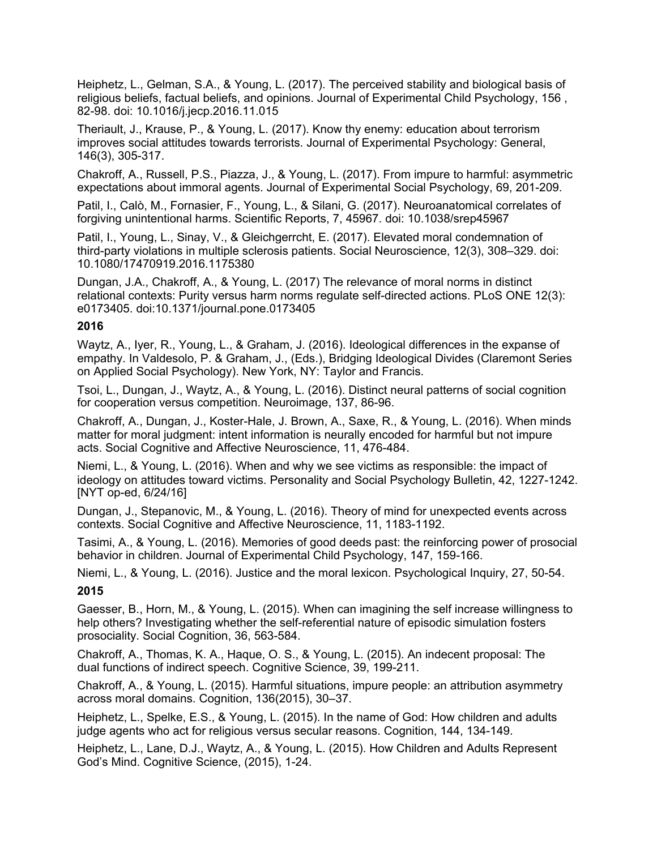Heiphetz, L., Gelman, S.A., & Young, L. (2017). The perceived stability and biological basis of religious beliefs, factual beliefs, and opinions. Journal of Experimental Child Psychology, 156 , 82-98. doi: 10.1016/j.jecp.2016.11.015

Theriault, J., Krause, P., & Young, L. (2017). Know thy enemy: education about terrorism improves social attitudes towards terrorists. Journal of Experimental Psychology: General, 146(3), 305-317.

Chakroff, A., Russell, P.S., Piazza, J., & Young, L. (2017). From impure to harmful: asymmetric expectations about immoral agents. Journal of Experimental Social Psychology, 69, 201-209.

Patil, I., Calò, M., Fornasier, F., Young, L., & Silani, G. (2017). Neuroanatomical correlates of forgiving unintentional harms. Scientific Reports, 7, 45967. doi: 10.1038/srep45967

Patil, I., Young, L., Sinay, V., & Gleichgerrcht, E. (2017). Elevated moral condemnation of third-party violations in multiple sclerosis patients. Social Neuroscience, 12(3), 308–329. doi: 10.1080/17470919.2016.1175380

Dungan, J.A., Chakroff, A., & Young, L. (2017) The relevance of moral norms in distinct relational contexts: Purity versus harm norms regulate self-directed actions. PLoS ONE 12(3): e0173405. doi:10.1371/journal.pone.0173405

#### **2016**

Waytz, A., Iyer, R., Young, L., & Graham, J. (2016). Ideological differences in the expanse of empathy. In Valdesolo, P. & Graham, J., (Eds.), Bridging Ideological Divides (Claremont Series on Applied Social Psychology). New York, NY: Taylor and Francis.

Tsoi, L., Dungan, J., Waytz, A., & Young, L. (2016). Distinct neural patterns of social cognition for cooperation versus competition. Neuroimage, 137, 86-96.

Chakroff, A., Dungan, J., Koster-Hale, J. Brown, A., Saxe, R., & Young, L. (2016). When minds matter for moral judgment: intent information is neurally encoded for harmful but not impure acts. Social Cognitive and Affective Neuroscience, 11, 476-484.

Niemi, L., & Young, L. (2016). When and why we see victims as responsible: the impact of ideology on attitudes toward victims. Personality and Social Psychology Bulletin, 42, 1227-1242. [NYT op-ed, 6/24/16]

Dungan, J., Stepanovic, M., & Young, L. (2016). Theory of mind for unexpected events across contexts. Social Cognitive and Affective Neuroscience, 11, 1183-1192.

Tasimi, A., & Young, L. (2016). Memories of good deeds past: the reinforcing power of prosocial behavior in children. Journal of Experimental Child Psychology, 147, 159-166.

Niemi, L., & Young, L. (2016). Justice and the moral lexicon. Psychological Inquiry, 27, 50-54. **2015**

Gaesser, B., Horn, M., & Young, L. (2015). When can imagining the self increase willingness to help others? Investigating whether the self-referential nature of episodic simulation fosters prosociality. Social Cognition, 36, 563-584.

Chakroff, A., Thomas, K. A., Haque, O. S., & Young, L. (2015). An indecent proposal: The dual functions of indirect speech. Cognitive Science, 39, 199-211.

Chakroff, A., & Young, L. (2015). Harmful situations, impure people: an attribution asymmetry across moral domains. Cognition, 136(2015), 30–37.

Heiphetz, L., Spelke, E.S., & Young, L. (2015). In the name of God: How children and adults judge agents who act for religious versus secular reasons. Cognition, 144, 134-149.

Heiphetz, L., Lane, D.J., Waytz, A., & Young, L. (2015). How Children and Adults Represent God's Mind. Cognitive Science, (2015), 1-24.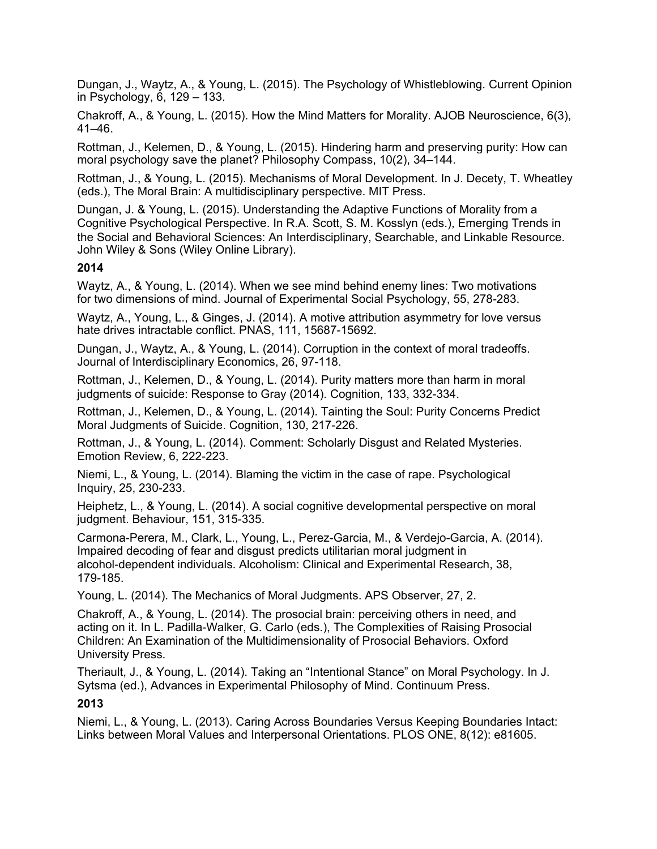Dungan, J., Waytz, A., & Young, L. (2015). The Psychology of Whistleblowing. Current Opinion in Psychology, 6, 129 – 133.

Chakroff, A., & Young, L. (2015). How the Mind Matters for Morality. AJOB Neuroscience, 6(3), 41–46.

Rottman, J., Kelemen, D., & Young, L. (2015). Hindering harm and preserving purity: How can moral psychology save the planet? Philosophy Compass, 10(2), 34–144.

Rottman, J., & Young, L. (2015). Mechanisms of Moral Development. In J. Decety, T. Wheatley (eds.), The Moral Brain: A multidisciplinary perspective. MIT Press.

Dungan, J. & Young, L. (2015). Understanding the Adaptive Functions of Morality from a Cognitive Psychological Perspective. In R.A. Scott, S. M. Kosslyn (eds.), Emerging Trends in the Social and Behavioral Sciences: An Interdisciplinary, Searchable, and Linkable Resource. John Wiley & Sons (Wiley Online Library).

### **2014**

Waytz, A., & Young, L. (2014). When we see mind behind enemy lines: Two motivations for two dimensions of mind. Journal of Experimental Social Psychology, 55, 278-283.

Waytz, A., Young, L., & Ginges, J. (2014). A motive attribution asymmetry for love versus hate drives intractable conflict. PNAS, 111, 15687-15692.

Dungan, J., Waytz, A., & Young, L. (2014). Corruption in the context of moral tradeoffs. Journal of Interdisciplinary Economics, 26, 97-118.

Rottman, J., Kelemen, D., & Young, L. (2014). Purity matters more than harm in moral judgments of suicide: Response to Gray (2014). Cognition, 133, 332-334.

Rottman, J., Kelemen, D., & Young, L. (2014). Tainting the Soul: Purity Concerns Predict Moral Judgments of Suicide. Cognition, 130, 217-226.

Rottman, J., & Young, L. (2014). Comment: Scholarly Disgust and Related Mysteries. Emotion Review, 6, 222-223.

Niemi, L., & Young, L. (2014). Blaming the victim in the case of rape. Psychological Inquiry, 25, 230-233.

Heiphetz, L., & Young, L. (2014). A social cognitive developmental perspective on moral judgment. Behaviour, 151, 315-335.

Carmona-Perera, M., Clark, L., Young, L., Perez-Garcia, M., & Verdejo-Garcia, A. (2014). Impaired decoding of fear and disgust predicts utilitarian moral judgment in alcohol-dependent individuals. Alcoholism: Clinical and Experimental Research, 38, 179-185.

Young, L. (2014). The Mechanics of Moral Judgments. APS Observer, 27, 2.

Chakroff, A., & Young, L. (2014). The prosocial brain: perceiving others in need, and acting on it. In L. Padilla-Walker, G. Carlo (eds.), The Complexities of Raising Prosocial Children: An Examination of the Multidimensionality of Prosocial Behaviors. Oxford University Press.

Theriault, J., & Young, L. (2014). Taking an "Intentional Stance" on Moral Psychology. In J. Sytsma (ed.), Advances in Experimental Philosophy of Mind. Continuum Press.

### **2013**

Niemi, L., & Young, L. (2013). Caring Across Boundaries Versus Keeping Boundaries Intact: Links between Moral Values and Interpersonal Orientations. PLOS ONE, 8(12): e81605.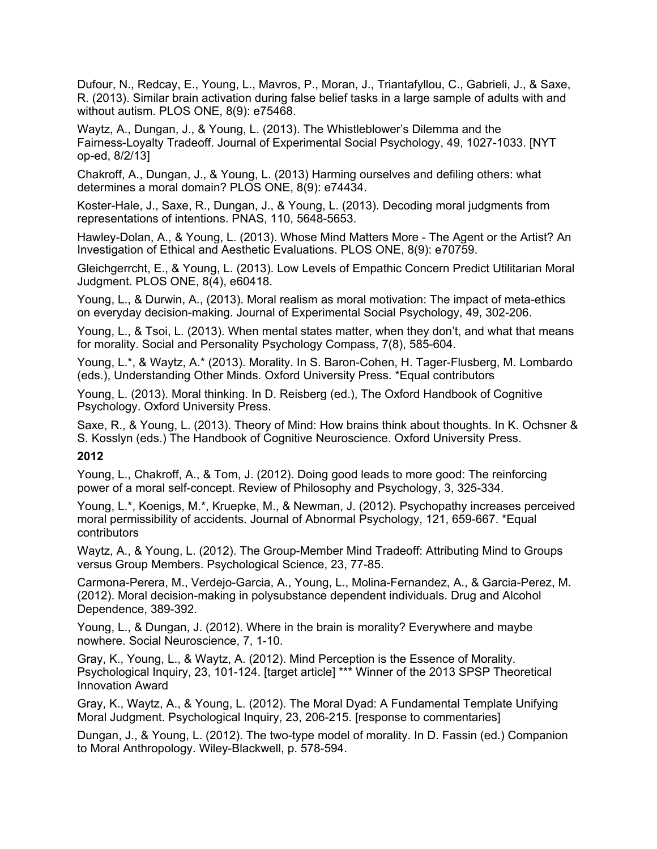Dufour, N., Redcay, E., Young, L., Mavros, P., Moran, J., Triantafyllou, C., Gabrieli, J., & Saxe, R. (2013). Similar brain activation during false belief tasks in a large sample of adults with and without autism. PLOS ONE, 8(9): e75468.

Waytz, A., Dungan, J., & Young, L. (2013). The Whistleblower's Dilemma and the Fairness-Loyalty Tradeoff. Journal of Experimental Social Psychology, 49, 1027-1033. [NYT op-ed, 8/2/13]

Chakroff, A., Dungan, J., & Young, L. (2013) Harming ourselves and defiling others: what determines a moral domain? PLOS ONE, 8(9): e74434.

Koster-Hale, J., Saxe, R., Dungan, J., & Young, L. (2013). Decoding moral judgments from representations of intentions. PNAS, 110, 5648-5653.

Hawley-Dolan, A., & Young, L. (2013). Whose Mind Matters More - The Agent or the Artist? An Investigation of Ethical and Aesthetic Evaluations. PLOS ONE, 8(9): e70759.

Gleichgerrcht, E., & Young, L. (2013). Low Levels of Empathic Concern Predict Utilitarian Moral Judgment. PLOS ONE, 8(4), e60418.

Young, L., & Durwin, A., (2013). Moral realism as moral motivation: The impact of meta-ethics on everyday decision-making. Journal of Experimental Social Psychology, 49, 302-206.

Young, L., & Tsoi, L. (2013). When mental states matter, when they don't, and what that means for morality. Social and Personality Psychology Compass, 7(8), 585-604.

Young, L.\*, & Waytz, A.\* (2013). Morality. In S. Baron-Cohen, H. Tager-Flusberg, M. Lombardo (eds.), Understanding Other Minds. Oxford University Press. \*Equal contributors

Young, L. (2013). Moral thinking. In D. Reisberg (ed.), The Oxford Handbook of Cognitive Psychology. Oxford University Press.

Saxe, R., & Young, L. (2013). Theory of Mind: How brains think about thoughts. In K. Ochsner & S. Kosslyn (eds.) The Handbook of Cognitive Neuroscience. Oxford University Press.

### **2012**

Young, L., Chakroff, A., & Tom, J. (2012). Doing good leads to more good: The reinforcing power of a moral self-concept. Review of Philosophy and Psychology, 3, 325-334.

Young, L.\*, Koenigs, M.\*, Kruepke, M., & Newman, J. (2012). Psychopathy increases perceived moral permissibility of accidents. Journal of Abnormal Psychology, 121, 659-667. \*Equal contributors

Waytz, A., & Young, L. (2012). The Group-Member Mind Tradeoff: Attributing Mind to Groups versus Group Members. Psychological Science, 23, 77-85.

Carmona-Perera, M., Verdejo-Garcia, A., Young, L., Molina-Fernandez, A., & Garcia-Perez, M. (2012). Moral decision-making in polysubstance dependent individuals. Drug and Alcohol Dependence, 389-392.

Young, L., & Dungan, J. (2012). Where in the brain is morality? Everywhere and maybe nowhere. Social Neuroscience, 7, 1-10.

Gray, K., Young, L., & Waytz, A. (2012). Mind Perception is the Essence of Morality. Psychological Inquiry, 23, 101-124. [target article] \*\*\* Winner of the 2013 SPSP [Theoretical](http://www.spsp.org/?page=Awards2013#TheorInnov) [Innovation](http://www.spsp.org/?page=Awards2013#TheorInnov) Award

Gray, K., Waytz, A., & Young, L. (2012). The Moral Dyad: A Fundamental Template Unifying Moral Judgment. Psychological Inquiry, 23, 206-215. [response to commentaries]

Dungan, J., & Young, L. (2012). The two-type model of morality. In D. Fassin (ed.) Companion to Moral Anthropology. Wiley-Blackwell, p. 578-594.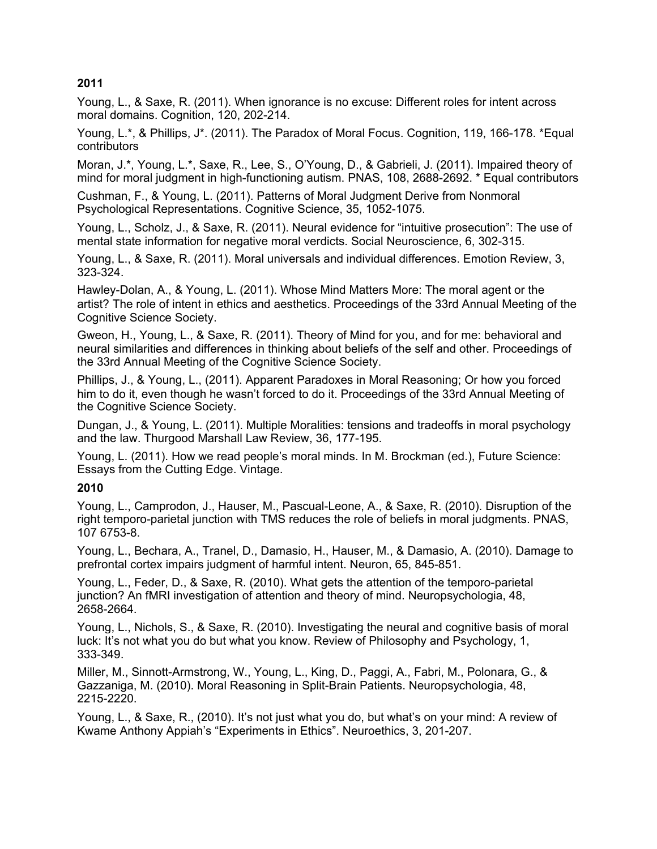### **2011**

Young, L., & Saxe, R. (2011). When ignorance is no excuse: Different roles for intent across moral domains. Cognition, 120, 202-214.

Young, L.\*, & Phillips, J\*. (2011). The Paradox of Moral Focus. Cognition, 119, 166-178. \*Equal contributors

Moran, J.\*, Young, L.\*, Saxe, R., Lee, S., O'Young, D., & Gabrieli, J. (2011). Impaired theory of mind for moral judgment in high-functioning autism. PNAS, 108, 2688-2692. \* Equal contributors

Cushman, F., & Young, L. (2011). Patterns of Moral Judgment Derive from Nonmoral Psychological Representations. Cognitive Science, 35, 1052-1075.

Young, L., Scholz, J., & Saxe, R. (2011). Neural evidence for "intuitive prosecution": The use of mental state information for negative moral verdicts. Social Neuroscience, 6, 302-315.

Young, L., & Saxe, R. (2011). Moral universals and individual differences. Emotion Review, 3, 323-324.

Hawley-Dolan, A., & Young, L. (2011). Whose Mind Matters More: The moral agent or the artist? The role of intent in ethics and aesthetics. Proceedings of the 33rd Annual Meeting of the Cognitive Science Society.

Gweon, H., Young, L., & Saxe, R. (2011). Theory of Mind for you, and for me: behavioral and neural similarities and differences in thinking about beliefs of the self and other. Proceedings of the 33rd Annual Meeting of the Cognitive Science Society.

Phillips, J., & Young, L., (2011). Apparent Paradoxes in Moral Reasoning; Or how you forced him to do it, even though he wasn't forced to do it. Proceedings of the 33rd Annual Meeting of the Cognitive Science Society.

Dungan, J., & Young, L. (2011). Multiple Moralities: tensions and tradeoffs in moral psychology and the law. Thurgood Marshall Law Review, 36, 177-195.

Young, L. (2011). How we read people's moral minds. In M. Brockman (ed.), Future Science: Essays from the Cutting Edge. Vintage.

### **2010**

Young, L., Camprodon, J., Hauser, M., Pascual-Leone, A., & Saxe, R. (2010). Disruption of the right temporo-parietal junction with TMS reduces the role of beliefs in moral judgments. PNAS, 107 6753-8.

Young, L., Bechara, A., Tranel, D., Damasio, H., Hauser, M., & Damasio, A. (2010). Damage to prefrontal cortex impairs judgment of harmful intent. Neuron, 65, 845-851.

Young, L., Feder, D., & Saxe, R. (2010). What gets the attention of the temporo-parietal junction? An fMRI investigation of attention and theory of mind. Neuropsychologia, 48, 2658-2664.

Young, L., Nichols, S., & Saxe, R. (2010). Investigating the neural and cognitive basis of moral luck: It's not what you do but what you know. Review of Philosophy and Psychology, 1, 333-349.

Miller, M., Sinnott-Armstrong, W., Young, L., King, D., Paggi, A., Fabri, M., Polonara, G., & Gazzaniga, M. (2010). Moral Reasoning in Split-Brain Patients. Neuropsychologia, 48, 2215-2220.

Young, L., & Saxe, R., (2010). It's not just what you do, but what's on your mind: A review of Kwame Anthony Appiah's "Experiments in Ethics". Neuroethics, 3, 201-207.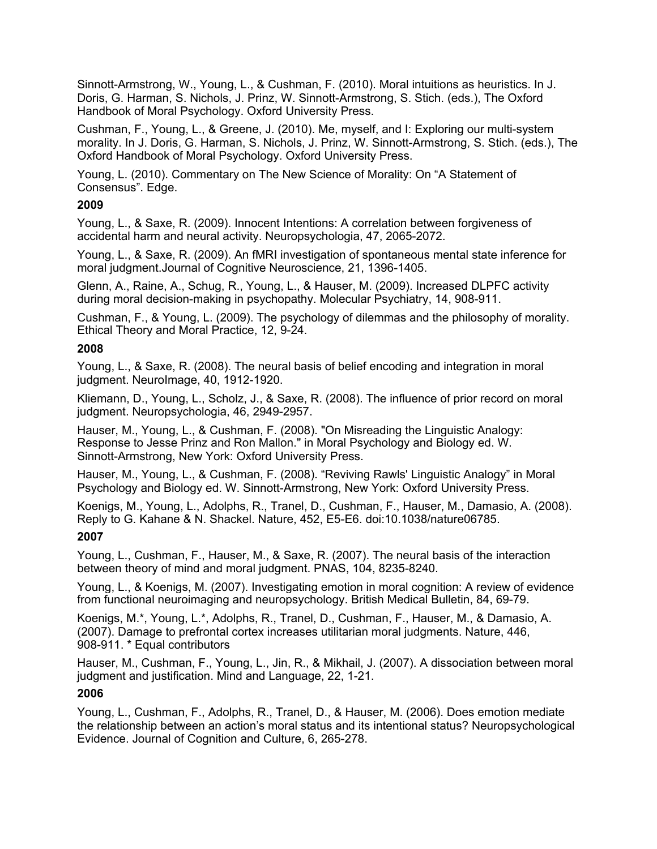Sinnott-Armstrong, W., Young, L., & Cushman, F. (2010). Moral intuitions as heuristics. In J. Doris, G. Harman, S. Nichols, J. Prinz, W. Sinnott-Armstrong, S. Stich. (eds.), The Oxford Handbook of Moral Psychology. Oxford University Press.

Cushman, F., Young, L., & Greene, J. (2010). Me, myself, and I: Exploring our multi-system morality. In J. Doris, G. Harman, S. Nichols, J. Prinz, W. Sinnott-Armstrong, S. Stich. (eds.), The Oxford Handbook of Moral Psychology. Oxford University Press.

Young, L. (2010). Commentary on The New Science of Morality: On "A Statement of Consensus". Edge.

### **2009**

Young, L., & Saxe, R. (2009). Innocent Intentions: A correlation between forgiveness of accidental harm and neural activity. Neuropsychologia, 47, 2065-2072.

Young, L., & Saxe, R. (2009). An fMRI investigation of spontaneous mental state inference for moral judgment.Journal of Cognitive Neuroscience, 21, 1396-1405.

Glenn, A., Raine, A., Schug, R., Young, L., & Hauser, M. (2009). Increased DLPFC activity during moral decision-making in psychopathy. Molecular Psychiatry, 14, 908-911.

Cushman, F., & Young, L. (2009). The psychology of dilemmas and the philosophy of morality. Ethical Theory and Moral Practice, 12, 9-24.

#### **2008**

Young, L., & Saxe, R. (2008). The neural basis of belief encoding and integration in moral judgment. NeuroImage, 40, 1912-1920.

Kliemann, D., Young, L., Scholz, J., & Saxe, R. (2008). The influence of prior record on moral judgment. Neuropsychologia, 46, 2949-2957.

Hauser, M., Young, L., & Cushman, F. (2008). "On Misreading the Linguistic Analogy: Response to Jesse Prinz and Ron Mallon." in Moral Psychology and Biology ed. W. Sinnott-Armstrong, New York: Oxford University Press.

Hauser, M., Young, L., & Cushman, F. (2008). "Reviving Rawls' Linguistic Analogy" in Moral Psychology and Biology ed. W. Sinnott-Armstrong, New York: Oxford University Press.

Koenigs, M., Young, L., Adolphs, R., Tranel, D., Cushman, F., Hauser, M., Damasio, A. (2008). Reply to G. Kahane & N. Shackel. Nature, 452, E5-E6. doi:10.1038/nature06785.

### **2007**

Young, L., Cushman, F., Hauser, M., & Saxe, R. (2007). The neural basis of the interaction between theory of mind and moral judgment. PNAS, 104, 8235-8240.

Young, L., & Koenigs, M. (2007). Investigating emotion in moral cognition: A review of evidence from functional neuroimaging and neuropsychology. British Medical Bulletin, 84, 69-79.

Koenigs, M.\*, Young, L.\*, Adolphs, R., Tranel, D., Cushman, F., Hauser, M., & Damasio, A. (2007). Damage to prefrontal cortex increases utilitarian moral judgments. Nature, 446, 908-911. \* Equal contributors

Hauser, M., Cushman, F., Young, L., Jin, R., & Mikhail, J. (2007). A dissociation between moral judgment and justification. Mind and Language, 22, 1-21.

## **2006**

Young, L., Cushman, F., Adolphs, R., Tranel, D., & Hauser, M. (2006). Does emotion mediate the relationship between an action's moral status and its intentional status? Neuropsychological Evidence. Journal of Cognition and Culture, 6, 265-278.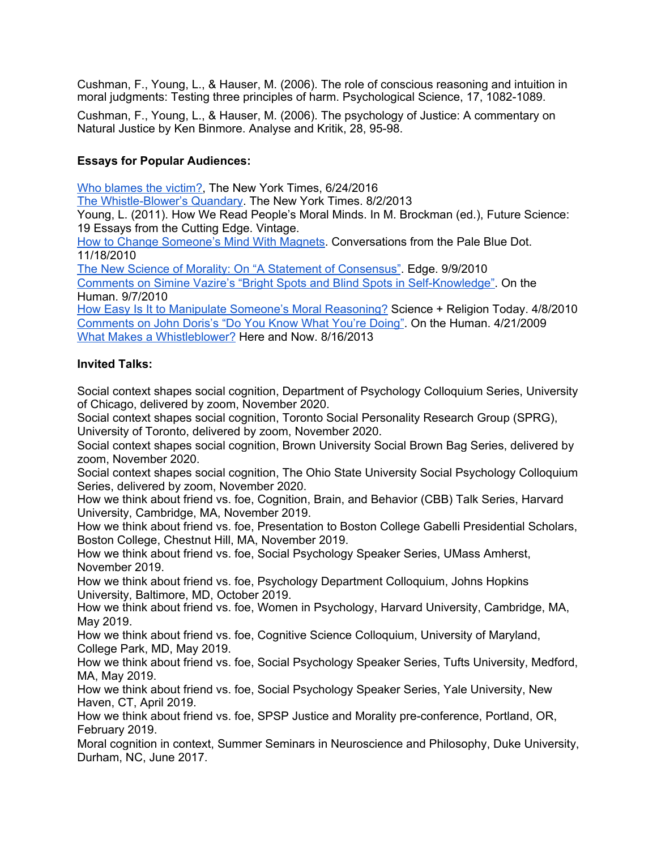Cushman, F., Young, L., & Hauser, M. (2006). The role of conscious reasoning and intuition in moral judgments: Testing three principles of harm. Psychological Science, 17, 1082-1089.

Cushman, F., Young, L., & Hauser, M. (2006). The psychology of Justice: A commentary on Natural Justice by Ken Binmore. Analyse and Kritik, 28, 95-98.

## **Essays for Popular Audiences:**

Who [blames](https://moralitylab.bc.edu/wp-content/uploads/2011/10/niemi_young_nyt.pdf) the victim?, The New York Times, 6/24/2016

The [Whistle-Blower's](https://moralitylab.bc.edu/wp-content/uploads/2011/10/WB_article_NYT.pdf) Quandary. The New York Times. 8/2/2013

Young, L. (2011). How We Read People's Moral Minds. In M. Brockman (ed.), Future Science: 19 Essays from the Cutting Edge. Vintage.

How to Change [Someone's](http://commonsenseatheism.com/?p=10549) Mind With Magnets. Conversations from the Pale Blue Dot. 11/18/2010

The New Science of Morality: On "A Statement of [Consensus".](http://www.edge.org/documents/archive/edge327.html#young) Edge. 9/9/2010

Comments on Simine Vazire's "Bright Spots and Blind Spots in [Self-Knowledge"](http://onthehuman.org/2010/09/bright-spots-and-blind-spots/comment-page-1/#comment-2720). On the Human. 9/7/2010

How Easy Is It to Manipulate Someone's Moral [Reasoning?](http://www.scienceandreligiontoday.com/2010/04/08/how-easy-is-it-to-manipulate-someones-moral-reasoning-liane-young-answers/) Science + Religion Today. 4/8/2010 [Comments](http://onthehuman.org/2009/04/john-doris-do-you-know-what-you%E2%80%99re-doing/comment-page-1/#comment-29) on John Doris's "Do You Know What You're Doing". On the Human. 4/21/2009 What Makes a [Whistleblower?](http://hereandnow.wbur.org/2013/08/16/whistleblowing-fairness-loyalty) Here and Now. 8/16/2013

## **Invited Talks:**

Social context shapes social cognition, Department of Psychology Colloquium Series, University of Chicago, delivered by zoom, November 2020.

Social context shapes social cognition, Toronto Social Personality Research Group (SPRG), University of Toronto, delivered by zoom, November 2020.

Social context shapes social cognition, Brown University Social Brown Bag Series, delivered by zoom, November 2020.

Social context shapes social cognition, The Ohio State University Social Psychology Colloquium Series, delivered by zoom, November 2020.

How we think about friend vs. foe, Cognition, Brain, and Behavior (CBB) Talk Series, Harvard University, Cambridge, MA, November 2019.

How we think about friend vs. foe, Presentation to Boston College Gabelli Presidential Scholars, Boston College, Chestnut Hill, MA, November 2019.

How we think about friend vs. foe, Social Psychology Speaker Series, UMass Amherst, November 2019.

How we think about friend vs. foe, Psychology Department Colloquium, Johns Hopkins University, Baltimore, MD, October 2019.

How we think about friend vs. foe, Women in Psychology, Harvard University, Cambridge, MA, May 2019.

How we think about friend vs. foe, Cognitive Science Colloquium, University of Maryland, College Park, MD, May 2019.

How we think about friend vs. foe, Social Psychology Speaker Series, Tufts University, Medford, MA, May 2019.

How we think about friend vs. foe, Social Psychology Speaker Series, Yale University, New Haven, CT, April 2019.

How we think about friend vs. foe, SPSP Justice and Morality pre-conference, Portland, OR, February 2019.

Moral cognition in context, Summer Seminars in Neuroscience and Philosophy, Duke University, Durham, NC, June 2017.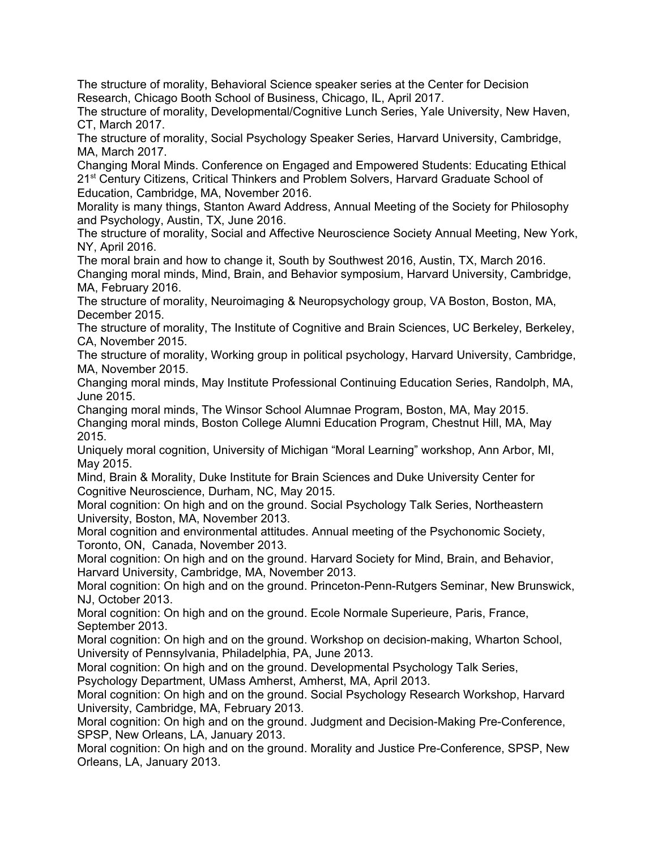The structure of morality, Behavioral Science speaker series at the Center for Decision Research, Chicago Booth School of Business, Chicago, IL, April 2017.

The structure of morality, Developmental/Cognitive Lunch Series, Yale University, New Haven, CT, March 2017.

The structure of morality, Social Psychology Speaker Series, Harvard University, Cambridge, MA, March 2017.

Changing Moral Minds. Conference on Engaged and Empowered Students: Educating Ethical 21<sup>st</sup> Century Citizens, Critical Thinkers and Problem Solvers, Harvard Graduate School of Education, Cambridge, MA, November 2016.

Morality is many things, Stanton Award Address, Annual Meeting of the Society for Philosophy and Psychology, Austin, TX, June 2016.

The structure of morality, Social and Affective Neuroscience Society Annual Meeting, New York, NY, April 2016.

The moral brain and how to change it, South by Southwest 2016, Austin, TX, March 2016. Changing moral minds, Mind, Brain, and Behavior symposium, Harvard University, Cambridge, MA, February 2016.

The structure of morality, Neuroimaging & Neuropsychology group, VA Boston, Boston, MA, December 2015.

The structure of morality, The Institute of Cognitive and Brain Sciences, UC Berkeley, Berkeley, CA, November 2015.

The structure of morality, Working group in political psychology, Harvard University, Cambridge, MA, November 2015.

Changing moral minds, May Institute Professional Continuing Education Series, Randolph, MA, June 2015.

Changing moral minds, The Winsor School Alumnae Program, Boston, MA, May 2015. Changing moral minds, Boston College Alumni Education Program, Chestnut Hill, MA, May 2015.

Uniquely moral cognition, University of Michigan "Moral Learning" workshop, Ann Arbor, MI, May 2015.

Mind, Brain & Morality, Duke Institute for Brain Sciences and Duke University Center for Cognitive Neuroscience, Durham, NC, May 2015.

Moral cognition: On high and on the ground. Social Psychology Talk Series, Northeastern University, Boston, MA, November 2013.

Moral cognition and environmental attitudes. Annual meeting of the Psychonomic Society, Toronto, ON, Canada, November 2013.

Moral cognition: On high and on the ground. Harvard Society for Mind, Brain, and Behavior, Harvard University, Cambridge, MA, November 2013.

Moral cognition: On high and on the ground. Princeton-Penn-Rutgers Seminar, New Brunswick, NJ, October 2013.

Moral cognition: On high and on the ground. Ecole Normale Superieure, Paris, France, September 2013.

Moral cognition: On high and on the ground. Workshop on decision-making, Wharton School, University of Pennsylvania, Philadelphia, PA, June 2013.

Moral cognition: On high and on the ground. Developmental Psychology Talk Series,

Psychology Department, UMass Amherst, Amherst, MA, April 2013.

Moral cognition: On high and on the ground. Social Psychology Research Workshop, Harvard University, Cambridge, MA, February 2013.

Moral cognition: On high and on the ground. Judgment and Decision-Making Pre-Conference, SPSP, New Orleans, LA, January 2013.

Moral cognition: On high and on the ground. Morality and Justice Pre-Conference, SPSP, New Orleans, LA, January 2013.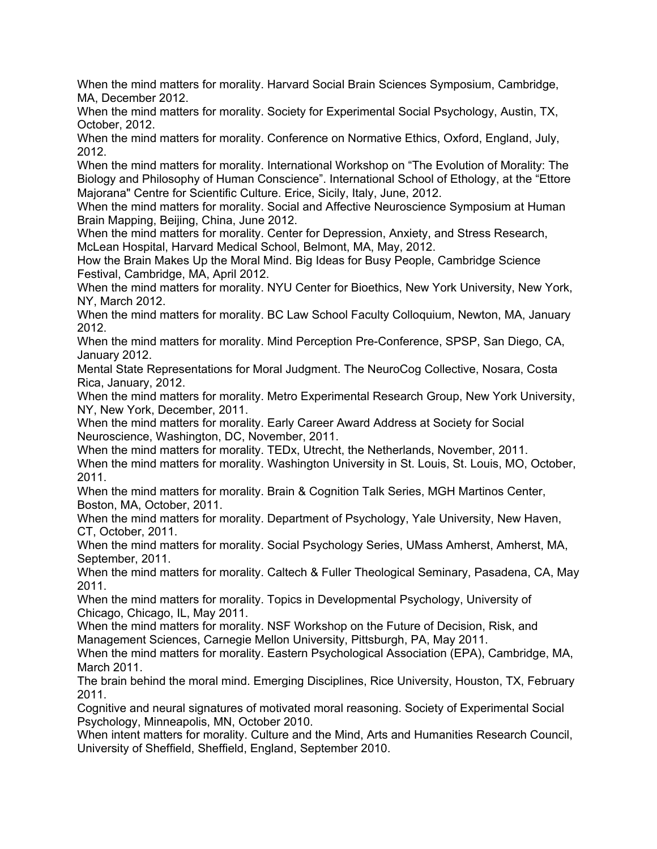When the mind matters for morality. Harvard Social Brain Sciences Symposium, Cambridge, MA, December 2012.

When the mind matters for morality. Society for Experimental Social Psychology, Austin, TX, October, 2012.

When the mind matters for morality. Conference on Normative Ethics, Oxford, England, July, 2012.

When the mind matters for morality. International Workshop on "The Evolution of Morality: The Biology and Philosophy of Human Conscience". International School of Ethology, at the "Ettore Majorana" Centre for Scientific Culture. Erice, Sicily, Italy, June, 2012.

When the mind matters for morality. Social and Affective Neuroscience Symposium at Human Brain Mapping, Beijing, China, June 2012.

When the mind matters for morality. Center for Depression, Anxiety, and Stress Research, McLean Hospital, Harvard Medical School, Belmont, MA, May, 2012.

How the Brain Makes Up the Moral Mind. Big Ideas for Busy People, Cambridge Science Festival, Cambridge, MA, April 2012.

When the mind matters for morality. NYU Center for Bioethics, New York University, New York, NY, March 2012.

When the mind matters for morality. BC Law School Faculty Colloquium, Newton, MA, January 2012.

When the mind matters for morality. Mind Perception Pre-Conference, SPSP, San Diego, CA, January 2012.

Mental State Representations for Moral Judgment. The NeuroCog Collective, Nosara, Costa Rica, January, 2012.

When the mind matters for morality. Metro Experimental Research Group, New York University, NY, New York, December, 2011.

When the mind matters for morality. Early Career Award Address at Society for Social Neuroscience, Washington, DC, November, 2011.

When the mind matters for morality. TEDx, Utrecht, the Netherlands, November, 2011. When the mind matters for morality. Washington University in St. Louis, St. Louis, MO, October, 2011.

When the mind matters for morality. Brain & Cognition Talk Series, MGH Martinos Center, Boston, MA, October, 2011.

When the mind matters for morality. Department of Psychology, Yale University, New Haven, CT, October, 2011.

When the mind matters for morality. Social Psychology Series, UMass Amherst, Amherst, MA, September, 2011.

When the mind matters for morality. Caltech & Fuller Theological Seminary, Pasadena, CA, May 2011.

When the mind matters for morality. Topics in Developmental Psychology, University of Chicago, Chicago, IL, May 2011.

When the mind matters for morality. NSF Workshop on the Future of Decision, Risk, and Management Sciences, Carnegie Mellon University, Pittsburgh, PA, May 2011.

When the mind matters for morality. Eastern Psychological Association (EPA), Cambridge, MA, March 2011.

The brain behind the moral mind. Emerging Disciplines, Rice University, Houston, TX, February 2011.

Cognitive and neural signatures of motivated moral reasoning. Society of Experimental Social Psychology, Minneapolis, MN, October 2010.

When intent matters for morality. Culture and the Mind, Arts and Humanities Research Council, University of Sheffield, Sheffield, England, September 2010.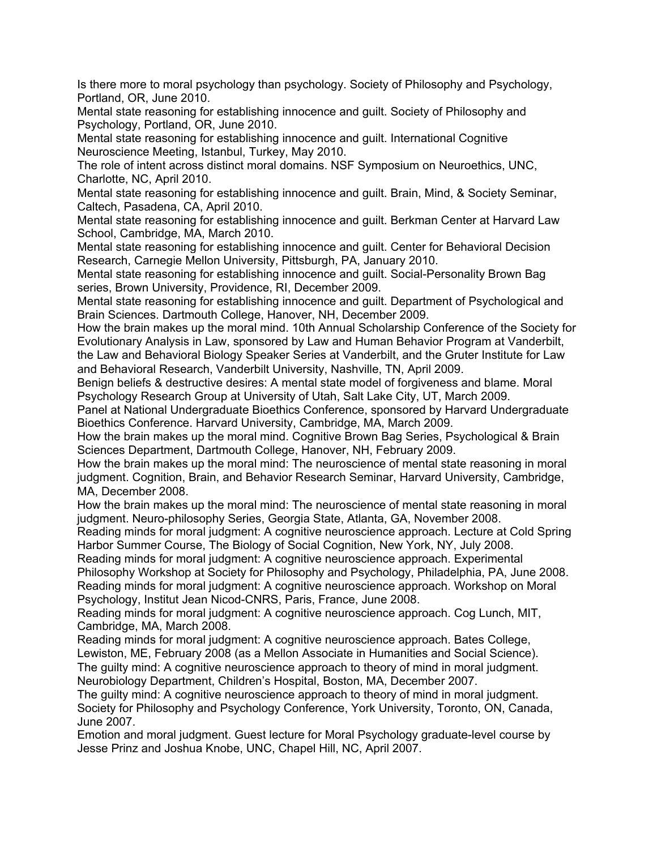Is there more to moral psychology than psychology. Society of Philosophy and Psychology, Portland, OR, June 2010.

Mental state reasoning for establishing innocence and guilt. Society of Philosophy and Psychology, Portland, OR, June 2010.

Mental state reasoning for establishing innocence and guilt. International Cognitive Neuroscience Meeting, Istanbul, Turkey, May 2010.

The role of intent across distinct moral domains. NSF Symposium on Neuroethics, UNC, Charlotte, NC, April 2010.

Mental state reasoning for establishing innocence and guilt. Brain, Mind, & Society Seminar, Caltech, Pasadena, CA, April 2010.

Mental state reasoning for establishing innocence and guilt. Berkman Center at Harvard Law School, Cambridge, MA, March 2010.

Mental state reasoning for establishing innocence and guilt. Center for Behavioral Decision Research, Carnegie Mellon University, Pittsburgh, PA, January 2010.

Mental state reasoning for establishing innocence and guilt. Social-Personality Brown Bag series, Brown University, Providence, RI, December 2009.

Mental state reasoning for establishing innocence and guilt. Department of Psychological and Brain Sciences. Dartmouth College, Hanover, NH, December 2009.

How the brain makes up the moral mind. 10th Annual Scholarship Conference of the Society for Evolutionary Analysis in Law, sponsored by Law and Human Behavior Program at Vanderbilt, the Law and Behavioral Biology Speaker Series at Vanderbilt, and the Gruter Institute for Law

and Behavioral Research, Vanderbilt University, Nashville, TN, April 2009.

Benign beliefs & destructive desires: A mental state model of forgiveness and blame. Moral Psychology Research Group at University of Utah, Salt Lake City, UT, March 2009.

Panel at National Undergraduate Bioethics Conference, sponsored by Harvard Undergraduate Bioethics Conference. Harvard University, Cambridge, MA, March 2009.

How the brain makes up the moral mind. Cognitive Brown Bag Series, Psychological & Brain Sciences Department, Dartmouth College, Hanover, NH, February 2009.

How the brain makes up the moral mind: The neuroscience of mental state reasoning in moral judgment. Cognition, Brain, and Behavior Research Seminar, Harvard University, Cambridge, MA, December 2008.

How the brain makes up the moral mind: The neuroscience of mental state reasoning in moral judgment. Neuro-philosophy Series, Georgia State, Atlanta, GA, November 2008.

Reading minds for moral judgment: A cognitive neuroscience approach. Lecture at Cold Spring Harbor Summer Course, The Biology of Social Cognition, New York, NY, July 2008.

Reading minds for moral judgment: A cognitive neuroscience approach. Experimental Philosophy Workshop at Society for Philosophy and Psychology, Philadelphia, PA, June 2008.

Reading minds for moral judgment: A cognitive neuroscience approach. Workshop on Moral Psychology, Institut Jean Nicod-CNRS, Paris, France, June 2008.

Reading minds for moral judgment: A cognitive neuroscience approach. Cog Lunch, MIT, Cambridge, MA, March 2008.

Reading minds for moral judgment: A cognitive neuroscience approach. Bates College, Lewiston, ME, February 2008 (as a Mellon Associate in Humanities and Social Science). The guilty mind: A cognitive neuroscience approach to theory of mind in moral judgment. Neurobiology Department, Children's Hospital, Boston, MA, December 2007.

The guilty mind: A cognitive neuroscience approach to theory of mind in moral judgment. Society for Philosophy and Psychology Conference, York University, Toronto, ON, Canada, June 2007.

Emotion and moral judgment. Guest lecture for Moral Psychology graduate-level course by Jesse Prinz and Joshua Knobe, UNC, Chapel Hill, NC, April 2007.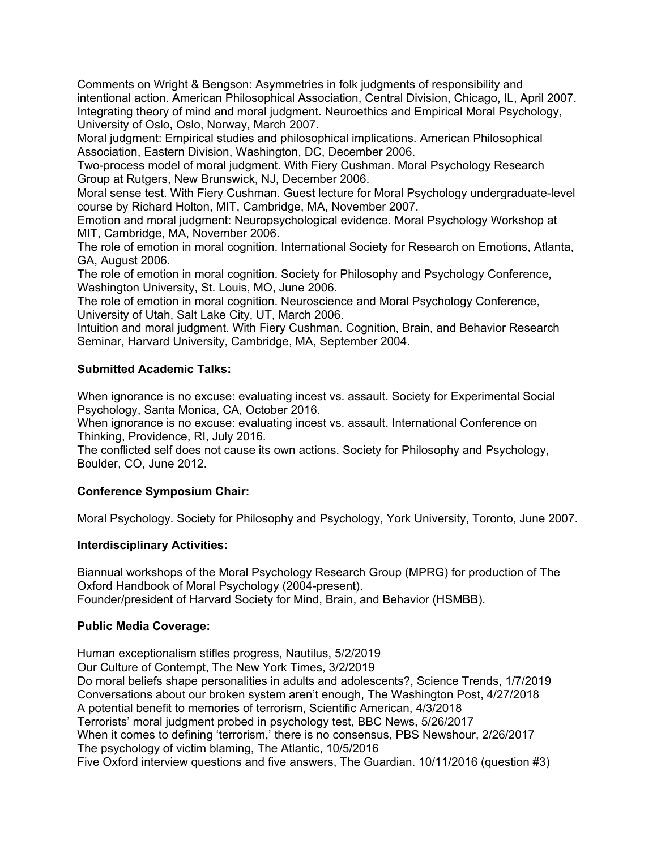Comments on Wright & Bengson: Asymmetries in folk judgments of responsibility and intentional action. American Philosophical Association, Central Division, Chicago, IL, April 2007. Integrating theory of mind and moral judgment. Neuroethics and Empirical Moral Psychology, University of Oslo, Oslo, Norway, March 2007.

Moral judgment: Empirical studies and philosophical implications. American Philosophical Association, Eastern Division, Washington, DC, December 2006.

Two-process model of moral judgment. With Fiery Cushman. Moral Psychology Research Group at Rutgers, New Brunswick, NJ, December 2006.

Moral sense test. With Fiery Cushman. Guest lecture for Moral Psychology undergraduate-level course by Richard Holton, MIT, Cambridge, MA, November 2007.

Emotion and moral judgment: Neuropsychological evidence. Moral Psychology Workshop at MIT, Cambridge, MA, November 2006.

The role of emotion in moral cognition. International Society for Research on Emotions, Atlanta, GA, August 2006.

The role of emotion in moral cognition. Society for Philosophy and Psychology Conference, Washington University, St. Louis, MO, June 2006.

The role of emotion in moral cognition. Neuroscience and Moral Psychology Conference, University of Utah, Salt Lake City, UT, March 2006.

Intuition and moral judgment. With Fiery Cushman. Cognition, Brain, and Behavior Research Seminar, Harvard University, Cambridge, MA, September 2004.

### **Submitted Academic Talks:**

When ignorance is no excuse: evaluating incest vs. assault. Society for Experimental Social Psychology, Santa Monica, CA, October 2016.

When ignorance is no excuse: evaluating incest vs. assault. International Conference on Thinking, Providence, RI, July 2016.

The conflicted self does not cause its own actions. Society for Philosophy and Psychology, Boulder, CO, June 2012.

### **Conference Symposium Chair:**

Moral Psychology. Society for Philosophy and Psychology, York University, Toronto, June 2007.

#### **Interdisciplinary Activities:**

Biannual workshops of the Moral Psychology Research Group (MPRG) for production of The Oxford Handbook of Moral Psychology (2004-present). Founder/president of Harvard Society for Mind, Brain, and Behavior (HSMBB).

#### **Public Media Coverage:**

Human exceptionalism stifles progress, Nautilus, 5/2/2019 Our Culture of Contempt, The New York Times, 3/2/2019 Do moral beliefs shape personalities in adults and adolescents?, Science Trends, 1/7/2019 Conversations about our broken system aren't enough, The Washington Post, 4/27/2018 A potential benefit to memories of terrorism, Scientific American, 4/3/2018 Terrorists' moral judgment probed in psychology test, BBC News, 5/26/2017 When it comes to defining 'terrorism,' there is no consensus, PBS Newshour, 2/26/2017 The psychology of victim blaming, The Atlantic, 10/5/2016 Five Oxford interview questions and five answers, The Guardian. 10/11/2016 (question #3)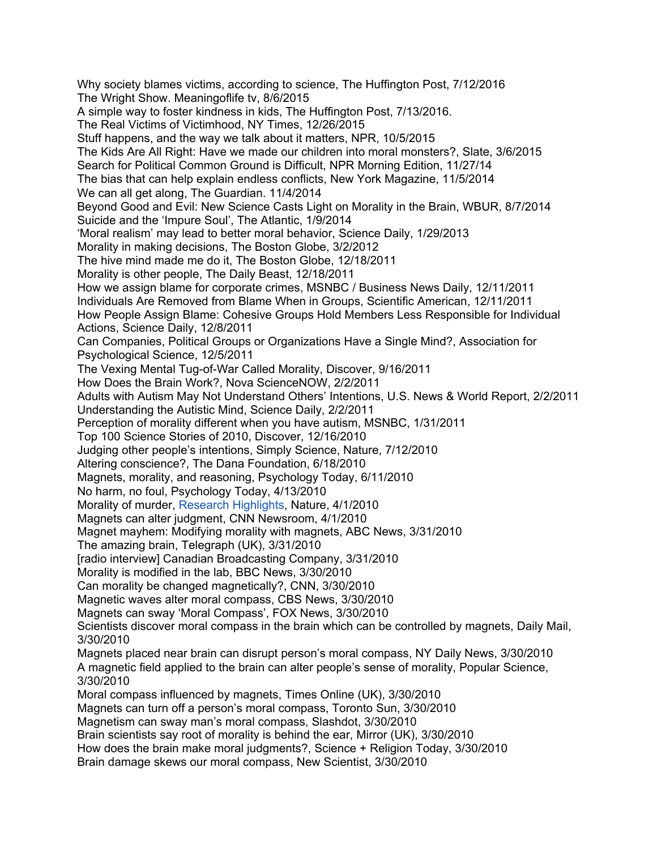Why society blames victims, according to science, The Huffington Post, 7/12/2016 The Wright Show. Meaningoflife tv, 8/6/2015 A simple way to foster kindness in kids, The Huffington Post, 7/13/2016. The Real Victims of Victimhood, NY Times, 12/26/2015 Stuff happens, and the way we talk about it matters, NPR, 10/5/2015 The Kids Are All Right: Have we made our children into moral monsters?, Slate, 3/6/2015 Search for Political Common Ground is Difficult, NPR Morning Edition, 11/27/14 The bias that can help explain endless conflicts, New York Magazine, 11/5/2014 We can all get along, The Guardian. 11/4/2014 Beyond Good and Evil: New Science Casts Light on Morality in the Brain, WBUR, 8/7/2014 Suicide and the 'Impure Soul', The Atlantic, 1/9/2014 'Moral realism' may lead to better moral behavior, Science Daily, 1/29/2013 Morality in making decisions, The Boston Globe, 3/2/2012 The hive mind made me do it, The Boston Globe, 12/18/2011 Morality is other people, The Daily Beast, 12/18/2011 How we assign blame for corporate crimes, MSNBC / Business News Daily, 12/11/2011 Individuals Are Removed from Blame When in Groups, Scientific American, 12/11/2011 How People Assign Blame: Cohesive Groups Hold Members Less Responsible for Individual Actions, Science Daily, 12/8/2011 Can Companies, Political Groups or Organizations Have a Single Mind?, Association for Psychological Science, 12/5/2011 The Vexing Mental Tug-of-War Called Morality, Discover, 9/16/2011 How Does the Brain Work?, Nova ScienceNOW, 2/2/2011 Adults with Autism May Not Understand Others' Intentions, U.S. News & World Report, 2/2/2011 Understanding the Autistic Mind, Science Daily, 2/2/2011 Perception of morality different when you have autism, MSNBC, 1/31/2011 Top 100 Science Stories of 2010, Discover, 12/16/2010 Judging other people's intentions, Simply Science, Nature, 7/12/2010 Altering conscience?, The Dana Foundation, 6/18/2010 Magnets, morality, and reasoning, Psychology Today, 6/11/2010 No harm, no foul, Psychology Today, 4/13/2010 Morality of murder, Research [Highlights](http://www.nature.com/nature/journal/v464/n7289/full/464653d.html), Nature, 4/1/2010 Magnets can alter judgment, CNN Newsroom, 4/1/2010 Magnet mayhem: Modifying morality with magnets, ABC News, 3/31/2010 The amazing brain, Telegraph (UK), 3/31/2010 [radio interview] Canadian Broadcasting Company, 3/31/2010 Morality is modified in the lab, BBC News, 3/30/2010 Can morality be changed magnetically?, CNN, 3/30/2010 Magnetic waves alter moral compass, CBS News, 3/30/2010 Magnets can sway 'Moral Compass', FOX News, 3/30/2010 Scientists discover moral compass in the brain which can be controlled by magnets, Daily Mail, 3/30/2010 Magnets placed near brain can disrupt person's moral compass, NY Daily News, 3/30/2010 A magnetic field applied to the brain can alter people's sense of morality, Popular Science, 3/30/2010 Moral compass influenced by magnets, Times Online (UK), 3/30/2010 Magnets can turn off a person's moral compass, Toronto Sun, 3/30/2010 Magnetism can sway man's moral compass, Slashdot, 3/30/2010 Brain scientists say root of morality is behind the ear, Mirror (UK), 3/30/2010 How does the brain make moral judgments?, Science + Religion Today, 3/30/2010 Brain damage skews our moral compass, New Scientist, 3/30/2010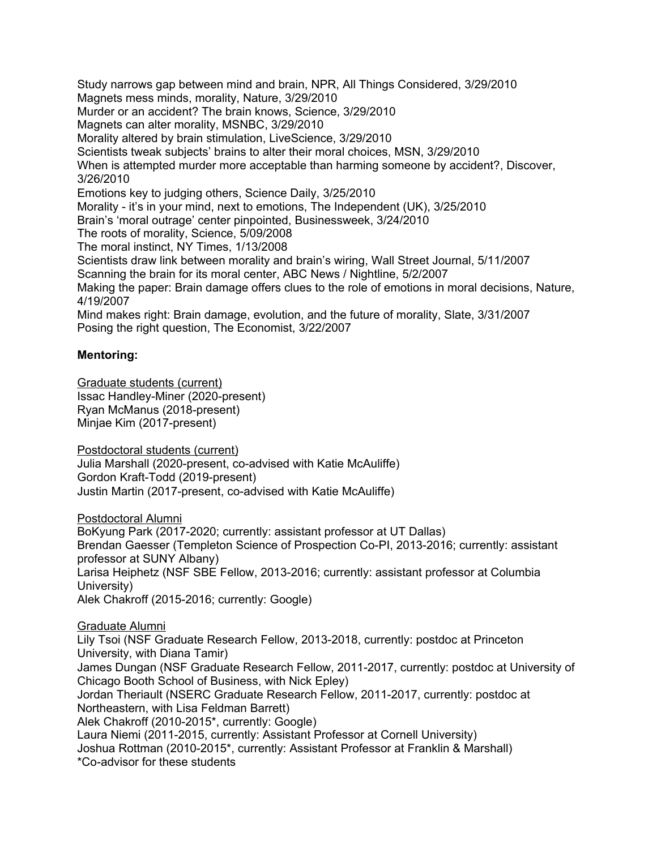Study narrows gap between mind and brain, NPR, All Things Considered, 3/29/2010 Magnets mess minds, morality, Nature, 3/29/2010 Murder or an accident? The brain knows, Science, 3/29/2010 Magnets can alter morality, MSNBC, 3/29/2010 Morality altered by brain stimulation, LiveScience, 3/29/2010 Scientists tweak subjects' brains to alter their moral choices, MSN, 3/29/2010 When is attempted murder more acceptable than harming someone by accident?, Discover, 3/26/2010 Emotions key to judging others, Science Daily, 3/25/2010 Morality - it's in your mind, next to emotions, The Independent (UK), 3/25/2010 Brain's 'moral outrage' center pinpointed, Businessweek, 3/24/2010 The roots of morality, Science, 5/09/2008 The moral instinct, NY Times, 1/13/2008 Scientists draw link between morality and brain's wiring, Wall Street Journal, 5/11/2007 Scanning the brain for its moral center, ABC News / Nightline, 5/2/2007 Making the paper: Brain damage offers clues to the role of emotions in moral decisions, Nature, 4/19/2007 Mind makes right: Brain damage, evolution, and the future of morality, Slate, 3/31/2007 Posing the right question, The Economist, 3/22/2007

### **Mentoring:**

Graduate students (current) Issac Handley-Miner (2020-present) Ryan McManus (2018-present) Minjae Kim (2017-present)

Postdoctoral students (current) Julia Marshall (2020-present, co-advised with Katie McAuliffe) Gordon Kraft-Todd (2019-present) Justin Martin (2017-present, co-advised with Katie McAuliffe)

Postdoctoral Alumni BoKyung Park (2017-2020; currently: assistant professor at UT Dallas) Brendan Gaesser (Templeton Science of Prospection Co-PI, 2013-2016; currently: assistant professor at SUNY Albany) Larisa Heiphetz (NSF SBE Fellow, 2013-2016; currently: assistant professor at Columbia University) Alek Chakroff (2015-2016; currently: Google)

Graduate Alumni Lily Tsoi (NSF Graduate Research Fellow, 2013-2018, currently: postdoc at Princeton University, with Diana Tamir) James Dungan (NSF Graduate Research Fellow, 2011-2017, currently: postdoc at University of Chicago Booth School of Business, with Nick Epley) Jordan Theriault (NSERC Graduate Research Fellow, 2011-2017, currently: postdoc at Northeastern, with Lisa Feldman Barrett) Alek Chakroff (2010-2015\*, currently: Google) Laura Niemi (2011-2015, currently: Assistant Professor at Cornell University) Joshua Rottman (2010-2015\*, currently: Assistant Professor at Franklin & Marshall) \*Co-advisor for these students